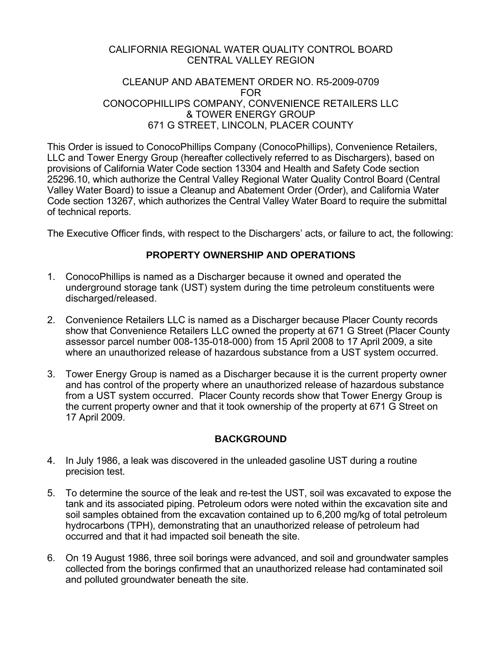#### CALIFORNIA REGIONAL WATER QUALITY CONTROL BOARD CENTRAL VALLEY REGION

#### CLEANUP AND ABATEMENT ORDER NO. R5-2009-0709 FOR CONOCOPHILLIPS COMPANY, CONVENIENCE RETAILERS LLC & TOWER ENERGY GROUP 671 G STREET, LINCOLN, PLACER COUNTY

This Order is issued to ConocoPhillips Company (ConocoPhillips), Convenience Retailers, LLC and Tower Energy Group (hereafter collectively referred to as Dischargers), based on provisions of California Water Code section 13304 and Health and Safety Code section 25296.10, which authorize the Central Valley Regional Water Quality Control Board (Central Valley Water Board) to issue a Cleanup and Abatement Order (Order), and California Water Code section 13267, which authorizes the Central Valley Water Board to require the submittal of technical reports.

The Executive Officer finds, with respect to the Dischargers' acts, or failure to act, the following:

### **PROPERTY OWNERSHIP AND OPERATIONS**

- 1. ConocoPhillips is named as a Discharger because it owned and operated the underground storage tank (UST) system during the time petroleum constituents were discharged/released.
- 2. Convenience Retailers LLC is named as a Discharger because Placer County records show that Convenience Retailers LLC owned the property at 671 G Street (Placer County assessor parcel number 008-135-018-000) from 15 April 2008 to 17 April 2009, a site where an unauthorized release of hazardous substance from a UST system occurred.
- 3. Tower Energy Group is named as a Discharger because it is the current property owner and has control of the property where an unauthorized release of hazardous substance from a UST system occurred. Placer County records show that Tower Energy Group is the current property owner and that it took ownership of the property at 671 G Street on 17 April 2009.

# **BACKGROUND**

- 4. In July 1986, a leak was discovered in the unleaded gasoline UST during a routine precision test.
- 5. To determine the source of the leak and re-test the UST, soil was excavated to expose the tank and its associated piping. Petroleum odors were noted within the excavation site and soil samples obtained from the excavation contained up to 6,200 mg/kg of total petroleum hydrocarbons (TPH), demonstrating that an unauthorized release of petroleum had occurred and that it had impacted soil beneath the site.
- 6. On 19 August 1986, three soil borings were advanced, and soil and groundwater samples collected from the borings confirmed that an unauthorized release had contaminated soil and polluted groundwater beneath the site.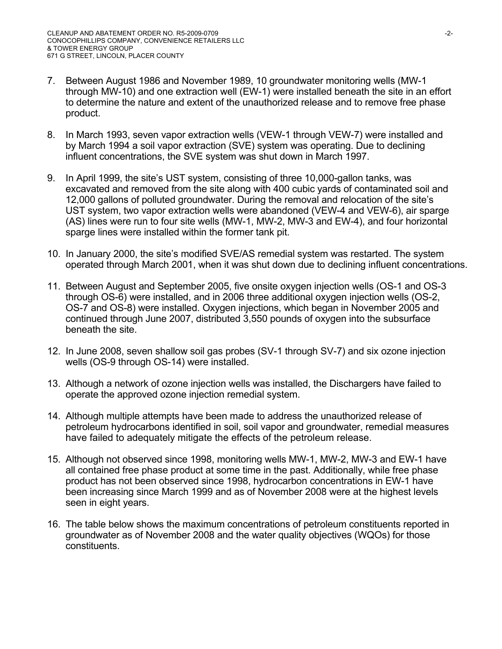- 7. Between August 1986 and November 1989, 10 groundwater monitoring wells (MW-1 through MW-10) and one extraction well (EW-1) were installed beneath the site in an effort to determine the nature and extent of the unauthorized release and to remove free phase product.
- 8. In March 1993, seven vapor extraction wells (VEW-1 through VEW-7) were installed and by March 1994 a soil vapor extraction (SVE) system was operating. Due to declining influent concentrations, the SVE system was shut down in March 1997.
- 9. In April 1999, the site's UST system, consisting of three 10,000-gallon tanks, was excavated and removed from the site along with 400 cubic yards of contaminated soil and 12,000 gallons of polluted groundwater. During the removal and relocation of the site's UST system, two vapor extraction wells were abandoned (VEW-4 and VEW-6), air sparge (AS) lines were run to four site wells (MW-1, MW-2, MW-3 and EW-4), and four horizontal sparge lines were installed within the former tank pit.
- 10. In January 2000, the site's modified SVE/AS remedial system was restarted. The system operated through March 2001, when it was shut down due to declining influent concentrations.
- 11. Between August and September 2005, five onsite oxygen injection wells (OS-1 and OS-3 through OS-6) were installed, and in 2006 three additional oxygen injection wells (OS-2, OS-7 and OS-8) were installed. Oxygen injections, which began in November 2005 and continued through June 2007, distributed 3,550 pounds of oxygen into the subsurface beneath the site.
- 12. In June 2008, seven shallow soil gas probes (SV-1 through SV-7) and six ozone injection wells (OS-9 through OS-14) were installed.
- 13. Although a network of ozone injection wells was installed, the Dischargers have failed to operate the approved ozone injection remedial system.
- 14. Although multiple attempts have been made to address the unauthorized release of petroleum hydrocarbons identified in soil, soil vapor and groundwater, remedial measures have failed to adequately mitigate the effects of the petroleum release.
- 15. Although not observed since 1998, monitoring wells MW-1, MW-2, MW-3 and EW-1 have all contained free phase product at some time in the past. Additionally, while free phase product has not been observed since 1998, hydrocarbon concentrations in EW-1 have been increasing since March 1999 and as of November 2008 were at the highest levels seen in eight years.
- 16. The table below shows the maximum concentrations of petroleum constituents reported in groundwater as of November 2008 and the water quality objectives (WQOs) for those constituents.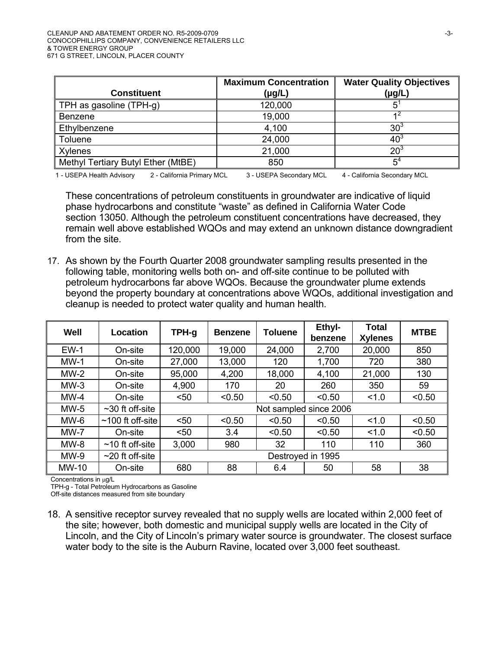| <b>Constituent</b>                                      | <b>Maximum Concentration</b><br>$(\mu g/L)$ | <b>Water Quality Objectives</b><br>(µg/L) |  |
|---------------------------------------------------------|---------------------------------------------|-------------------------------------------|--|
| TPH as gasoline (TPH-g)                                 | 120,000                                     |                                           |  |
| Benzene                                                 | 19,000                                      | 42                                        |  |
| Ethylbenzene                                            | 4,100                                       | 30 <sup>3</sup>                           |  |
| <b>Toluene</b>                                          | 24,000                                      | 40 <sup>3</sup>                           |  |
| Xylenes                                                 | 21,000                                      | 20 <sup>3</sup>                           |  |
| Methyl Tertiary Butyl Ether (MtBE)                      | 850                                         | $5^{\circ}$                               |  |
| 1 - USEPA Health Advisory<br>2 - California Primary MCL | 3 - USEPA Secondary MCL                     | 4 - California Secondary MCL              |  |

These concentrations of petroleum constituents in groundwater are indicative of liquid phase hydrocarbons and constitute "waste" as defined in California Water Code section 13050. Although the petroleum constituent concentrations have decreased, they remain well above established WQOs and may extend an unknown distance downgradient from the site.

17. As shown by the Fourth Quarter 2008 groundwater sampling results presented in the following table, monitoring wells both on- and off-site continue to be polluted with petroleum hydrocarbons far above WQOs. Because the groundwater plume extends beyond the property boundary at concentrations above WQOs, additional investigation and cleanup is needed to protect water quality and human health.

| Well         | Location              | TPH-g                  | <b>Benzene</b> | <b>Toluene</b> | Ethyl-<br>benzene | <b>Total</b><br><b>Xylenes</b> | <b>MTBE</b> |
|--------------|-----------------------|------------------------|----------------|----------------|-------------------|--------------------------------|-------------|
| $EW-1$       | On-site               | 120,000                | 19,000         | 24,000         | 2,700             | 20,000                         | 850         |
| $MW-1$       | On-site               | 27,000                 | 13,000         | 120            | 1,700             | 720                            | 380         |
| $MW-2$       | On-site               | 95,000                 | 4,200          | 18,000         | 4,100             | 21,000                         | 130         |
| $MW-3$       | On-site               | 4,900                  | 170            | 20             | 260               | 350                            | 59          |
| $MW-4$       | On-site               | $50$                   | < 0.50         | < 0.50         | < 0.50            | 1.0                            | < 0.50      |
| $MW-5$       | $\sim$ 30 ft off-site | Not sampled since 2006 |                |                |                   |                                |             |
| $MW-6$       | $~100$ ft off-site    | $50$                   | < 0.50         | < 0.50         | < 0.50            | 1.0                            | < 0.50      |
| $MW-7$       | On-site               | $50$                   | 3.4            | < 0.50         | < 0.50            | 1.0                            | < 0.50      |
| $MW-8$       | $~10$ ft off-site     | 3,000                  | 980            | 32             | 110               | 110                            | 360         |
| $MW-9$       | $\sim$ 20 ft off-site | Destroyed in 1995      |                |                |                   |                                |             |
| <b>MW-10</b> | On-site               | 680                    | 88             | 6.4            | 50                | 58                             | 38          |

Concentrations in μg/L

TPH-g - Total Petroleum Hydrocarbons as Gasoline

Off-site distances measured from site boundary

18. A sensitive receptor survey revealed that no supply wells are located within 2,000 feet of the site; however, both domestic and municipal supply wells are located in the City of Lincoln, and the City of Lincoln's primary water source is groundwater. The closest surface water body to the site is the Auburn Ravine, located over 3,000 feet southeast.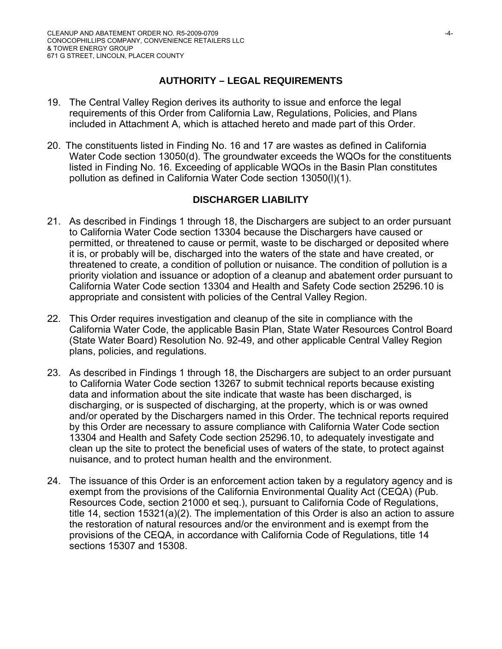# **AUTHORITY – LEGAL REQUIREMENTS**

- 19. The Central Valley Region derives its authority to issue and enforce the legal requirements of this Order from California Law, Regulations, Policies, and Plans included in Attachment A, which is attached hereto and made part of this Order.
- 20. The constituents listed in Finding No. 16 and 17 are wastes as defined in California Water Code section 13050(d). The groundwater exceeds the WQOs for the constituents listed in Finding No. 16. Exceeding of applicable WQOs in the Basin Plan constitutes pollution as defined in California Water Code section 13050(l)(1).

## **DISCHARGER LIABILITY**

- 21. As described in Findings 1 through 18, the Dischargers are subject to an order pursuant to California Water Code section 13304 because the Dischargers have caused or permitted, or threatened to cause or permit, waste to be discharged or deposited where it is, or probably will be, discharged into the waters of the state and have created, or threatened to create, a condition of pollution or nuisance. The condition of pollution is a priority violation and issuance or adoption of a cleanup and abatement order pursuant to California Water Code section 13304 and Health and Safety Code section 25296.10 is appropriate and consistent with policies of the Central Valley Region.
- 22. This Order requires investigation and cleanup of the site in compliance with the California Water Code, the applicable Basin Plan, State Water Resources Control Board (State Water Board) Resolution No. 92-49, and other applicable Central Valley Region plans, policies, and regulations.
- 23. As described in Findings 1 through 18, the Dischargers are subject to an order pursuant to California Water Code section 13267 to submit technical reports because existing data and information about the site indicate that waste has been discharged, is discharging, or is suspected of discharging, at the property, which is or was owned and/or operated by the Dischargers named in this Order. The technical reports required by this Order are necessary to assure compliance with California Water Code section 13304 and Health and Safety Code section 25296.10, to adequately investigate and clean up the site to protect the beneficial uses of waters of the state, to protect against nuisance, and to protect human health and the environment.
- 24. The issuance of this Order is an enforcement action taken by a regulatory agency and is exempt from the provisions of the California Environmental Quality Act (CEQA) (Pub. Resources Code, section 21000 et seq.), pursuant to California Code of Regulations, title 14, section 15321(a)(2). The implementation of this Order is also an action to assure the restoration of natural resources and/or the environment and is exempt from the provisions of the CEQA, in accordance with California Code of Regulations, title 14 sections 15307 and 15308.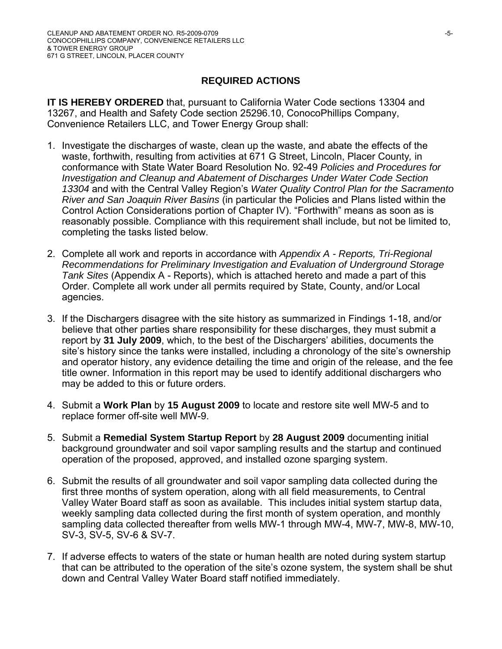# **REQUIRED ACTIONS**

**IT IS HEREBY ORDERED** that, pursuant to California Water Code sections 13304 and 13267, and Health and Safety Code section 25296.10, ConocoPhillips Company, Convenience Retailers LLC, and Tower Energy Group shall:

- 1. Investigate the discharges of waste, clean up the waste, and abate the effects of the waste, forthwith, resulting from activities at 671 G Street, Lincoln, Placer County*,* in conformance with State Water Board Resolution No. 92-49 *Policies and Procedures for Investigation and Cleanup and Abatement of Discharges Under Water Code Section 13304* and with the Central Valley Region's *Water Quality Control Plan for the Sacramento River and San Joaquin River Basins* (in particular the Policies and Plans listed within the Control Action Considerations portion of Chapter IV). "Forthwith" means as soon as is reasonably possible. Compliance with this requirement shall include, but not be limited to, completing the tasks listed below.
- 2. Complete all work and reports in accordance with *Appendix A Reports, Tri-Regional Recommendations for Preliminary Investigation and Evaluation of Underground Storage Tank Sites* (Appendix A - Reports), which is attached hereto and made a part of this Order. Complete all work under all permits required by State, County, and/or Local agencies.
- 3. If the Dischargers disagree with the site history as summarized in Findings 1-18, and/or believe that other parties share responsibility for these discharges, they must submit a report by **31 July 2009**, which, to the best of the Dischargers' abilities, documents the site's history since the tanks were installed, including a chronology of the site's ownership and operator history, any evidence detailing the time and origin of the release, and the fee title owner. Information in this report may be used to identify additional dischargers who may be added to this or future orders.
- 4. Submit a **Work Plan** by **15 August 2009** to locate and restore site well MW-5 and to replace former off-site well MW-9.
- 5. Submit a **Remedial System Startup Report** by **28 August 2009** documenting initial background groundwater and soil vapor sampling results and the startup and continued operation of the proposed, approved, and installed ozone sparging system.
- 6. Submit the results of all groundwater and soil vapor sampling data collected during the first three months of system operation, along with all field measurements, to Central Valley Water Board staff as soon as available. This includes initial system startup data, weekly sampling data collected during the first month of system operation, and monthly sampling data collected thereafter from wells MW-1 through MW-4, MW-7, MW-8, MW-10, SV-3, SV-5, SV-6 & SV-7.
- 7. If adverse effects to waters of the state or human health are noted during system startup that can be attributed to the operation of the site's ozone system, the system shall be shut down and Central Valley Water Board staff notified immediately.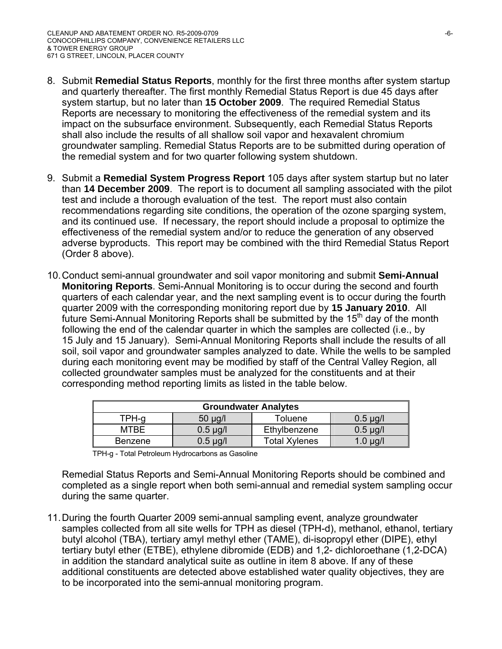- 8. Submit **Remedial Status Reports**, monthly for the first three months after system startup and quarterly thereafter. The first monthly Remedial Status Report is due 45 days after system startup, but no later than **15 October 2009**. The required Remedial Status Reports are necessary to monitoring the effectiveness of the remedial system and its impact on the subsurface environment. Subsequently, each Remedial Status Reports shall also include the results of all shallow soil vapor and hexavalent chromium groundwater sampling. Remedial Status Reports are to be submitted during operation of the remedial system and for two quarter following system shutdown.
- 9. Submit a **Remedial System Progress Report** 105 days after system startup but no later than **14 December 2009**. The report is to document all sampling associated with the pilot test and include a thorough evaluation of the test. The report must also contain recommendations regarding site conditions, the operation of the ozone sparging system, and its continued use. If necessary, the report should include a proposal to optimize the effectiveness of the remedial system and/or to reduce the generation of any observed adverse byproducts. This report may be combined with the third Remedial Status Report (Order 8 above).
- 10. Conduct semi-annual groundwater and soil vapor monitoring and submit **Semi-Annual Monitoring Reports**. Semi-Annual Monitoring is to occur during the second and fourth quarters of each calendar year, and the next sampling event is to occur during the fourth quarter 2009 with the corresponding monitoring report due by **15 January 2010**. All future Semi-Annual Monitoring Reports shall be submitted by the 15<sup>th</sup> day of the month following the end of the calendar quarter in which the samples are collected (i.e., by 15 July and 15 January). Semi-Annual Monitoring Reports shall include the results of all soil, soil vapor and groundwater samples analyzed to date. While the wells to be sampled during each monitoring event may be modified by staff of the Central Valley Region, all collected groundwater samples must be analyzed for the constituents and at their corresponding method reporting limits as listed in the table below.

| <b>Groundwater Analytes</b> |               |                      |               |  |
|-----------------------------|---------------|----------------------|---------------|--|
| TPH-g                       | $50 \mu g/l$  | Toluene              | $0.5 \mu g/l$ |  |
| MTBE                        | $0.5 \mu g/l$ | Ethylbenzene         | $0.5 \mu g/l$ |  |
| <b>Benzene</b>              | $0.5 \mu g/l$ | <b>Total Xylenes</b> | $1.0 \mu g/l$ |  |

Remedial Status Reports and Semi-Annual Monitoring Reports should be combined and completed as a single report when both semi-annual and remedial system sampling occur during the same quarter.

11. During the fourth Quarter 2009 semi-annual sampling event, analyze groundwater samples collected from all site wells for TPH as diesel (TPH-d), methanol, ethanol, tertiary butyl alcohol (TBA), tertiary amyl methyl ether (TAME), di-isopropyl ether (DIPE), ethyl tertiary butyl ether (ETBE), ethylene dibromide (EDB) and 1,2- dichloroethane (1,2-DCA) in addition the standard analytical suite as outline in item 8 above. If any of these additional constituents are detected above established water quality objectives, they are to be incorporated into the semi-annual monitoring program.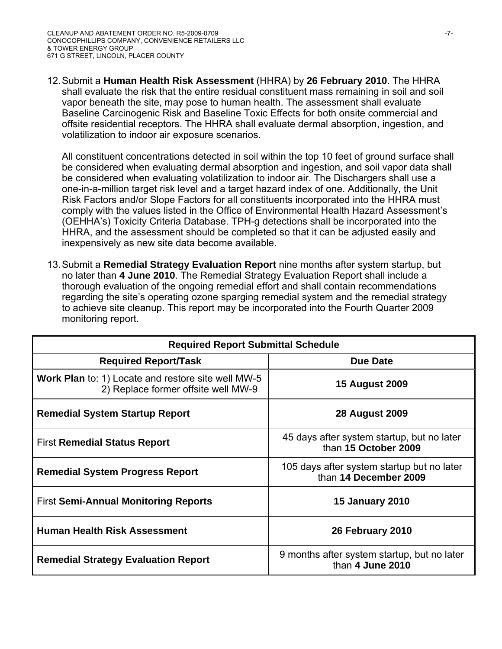12. Submit a **Human Health Risk Assessment** (HHRA) by **26 February 2010**. The HHRA shall evaluate the risk that the entire residual constituent mass remaining in soil and soil vapor beneath the site, may pose to human health. The assessment shall evaluate Baseline Carcinogenic Risk and Baseline Toxic Effects for both onsite commercial and offsite residential receptors. The HHRA shall evaluate dermal absorption, ingestion, and volatilization to indoor air exposure scenarios.

All constituent concentrations detected in soil within the top 10 feet of ground surface shall be considered when evaluating dermal absorption and ingestion, and soil vapor data shall be considered when evaluating volatilization to indoor air. The Dischargers shall use a one-in-a-million target risk level and a target hazard index of one. Additionally, the Unit Risk Factors and/or Slope Factors for all constituents incorporated into the HHRA must comply with the values listed in the Office of Environmental Health Hazard Assessment's (OEHHA's) Toxicity Criteria Database. TPH-g detections shall be incorporated into the HHRA, and the assessment should be completed so that it can be adjusted easily and inexpensively as new site data become available.

13. Submit a **Remedial Strategy Evaluation Report** nine months after system startup, but no later than **4 June 2010**. The Remedial Strategy Evaluation Report shall include a thorough evaluation of the ongoing remedial effort and shall contain recommendations regarding the site's operating ozone sparging remedial system and the remedial strategy to achieve site cleanup. This report may be incorporated into the Fourth Quarter 2009 monitoring report.

| <b>Required Report Submittal Schedule</b>                                                        |                                                                     |  |  |
|--------------------------------------------------------------------------------------------------|---------------------------------------------------------------------|--|--|
| <b>Required Report/Task</b>                                                                      | <b>Due Date</b>                                                     |  |  |
| <b>Work Plan</b> to: 1) Locate and restore site well MW-5<br>2) Replace former offsite well MW-9 | <b>15 August 2009</b>                                               |  |  |
| <b>Remedial System Startup Report</b>                                                            | <b>28 August 2009</b>                                               |  |  |
| <b>First Remedial Status Report</b>                                                              | 45 days after system startup, but no later<br>than 15 October 2009  |  |  |
| <b>Remedial System Progress Report</b>                                                           | 105 days after system startup but no later<br>than 14 December 2009 |  |  |
| <b>First Semi-Annual Monitoring Reports</b>                                                      | <b>15 January 2010</b>                                              |  |  |
| <b>Human Health Risk Assessment</b>                                                              | 26 February 2010                                                    |  |  |
| <b>Remedial Strategy Evaluation Report</b>                                                       | 9 months after system startup, but no later<br>than 4 June 2010     |  |  |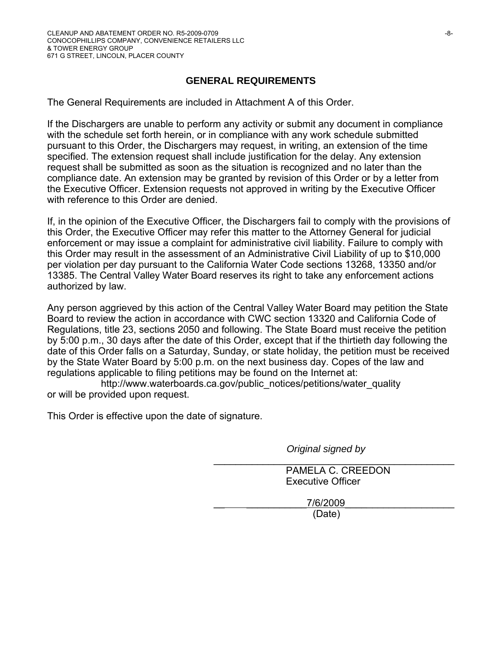# **GENERAL REQUIREMENTS**

The General Requirements are included in Attachment A of this Order.

If the Dischargers are unable to perform any activity or submit any document in compliance with the schedule set forth herein, or in compliance with any work schedule submitted pursuant to this Order, the Dischargers may request, in writing, an extension of the time specified. The extension request shall include justification for the delay. Any extension request shall be submitted as soon as the situation is recognized and no later than the compliance date. An extension may be granted by revision of this Order or by a letter from the Executive Officer. Extension requests not approved in writing by the Executive Officer with reference to this Order are denied.

If, in the opinion of the Executive Officer, the Dischargers fail to comply with the provisions of this Order, the Executive Officer may refer this matter to the Attorney General for judicial enforcement or may issue a complaint for administrative civil liability. Failure to comply with this Order may result in the assessment of an Administrative Civil Liability of up to \$10,000 per violation per day pursuant to the California Water Code sections 13268, 13350 and/or 13385. The Central Valley Water Board reserves its right to take any enforcement actions authorized by law.

Any person aggrieved by this action of the Central Valley Water Board may petition the State Board to review the action in accordance with CWC section 13320 and California Code of Regulations, title 23, sections 2050 and following. The State Board must receive the petition by 5:00 p.m., 30 days after the date of this Order, except that if the thirtieth day following the date of this Order falls on a Saturday, Sunday, or state holiday, the petition must be received by the State Water Board by 5:00 p.m. on the next business day. Copes of the law and regulations applicable to filing petitions may be found on the Internet at:

http://www.waterboards.ca.gov/public\_notices/petitions/water\_quality or will be provided upon request.

This Order is effective upon the date of signature.

*Original signed by* 

\_\_\_\_\_\_\_\_\_\_\_\_\_\_\_\_\_\_\_\_\_\_\_\_\_\_\_\_\_\_\_\_\_\_\_\_\_\_\_\_\_\_\_\_ PAMELA C. CREEDON Executive Officer

7/6/2009 (Date)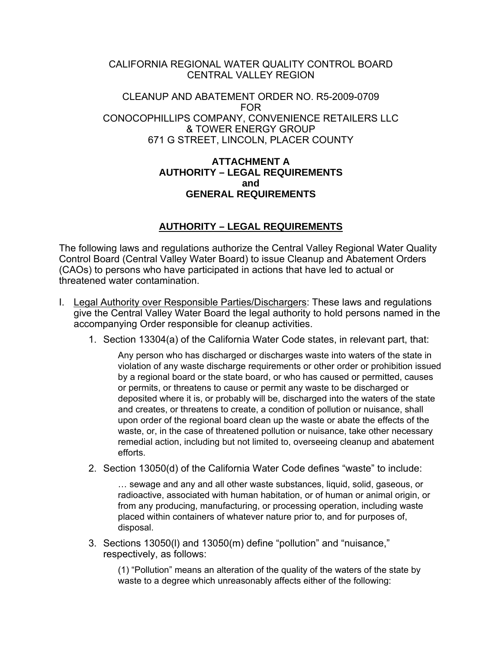### CALIFORNIA REGIONAL WATER QUALITY CONTROL BOARD CENTRAL VALLEY REGION

#### CLEANUP AND ABATEMENT ORDER NO. R5-2009-0709 FOR CONOCOPHILLIPS COMPANY, CONVENIENCE RETAILERS LLC & TOWER ENERGY GROUP 671 G STREET, LINCOLN, PLACER COUNTY

#### **ATTACHMENT A AUTHORITY – LEGAL REQUIREMENTS and GENERAL REQUIREMENTS**

# **AUTHORITY – LEGAL REQUIREMENTS**

The following laws and regulations authorize the Central Valley Regional Water Quality Control Board (Central Valley Water Board) to issue Cleanup and Abatement Orders (CAOs) to persons who have participated in actions that have led to actual or threatened water contamination.

- I. Legal Authority over Responsible Parties/Dischargers: These laws and regulations give the Central Valley Water Board the legal authority to hold persons named in the accompanying Order responsible for cleanup activities.
	- 1. Section 13304(a) of the California Water Code states, in relevant part, that:

Any person who has discharged or discharges waste into waters of the state in violation of any waste discharge requirements or other order or prohibition issued by a regional board or the state board, or who has caused or permitted, causes or permits, or threatens to cause or permit any waste to be discharged or deposited where it is, or probably will be, discharged into the waters of the state and creates, or threatens to create, a condition of pollution or nuisance, shall upon order of the regional board clean up the waste or abate the effects of the waste, or, in the case of threatened pollution or nuisance, take other necessary remedial action, including but not limited to, overseeing cleanup and abatement efforts.

2. Section 13050(d) of the California Water Code defines "waste" to include:

… sewage and any and all other waste substances, liquid, solid, gaseous, or radioactive, associated with human habitation, or of human or animal origin, or from any producing, manufacturing, or processing operation, including waste placed within containers of whatever nature prior to, and for purposes of, disposal.

3. Sections 13050(l) and 13050(m) define "pollution" and "nuisance," respectively, as follows:

(1) "Pollution" means an alteration of the quality of the waters of the state by waste to a degree which unreasonably affects either of the following: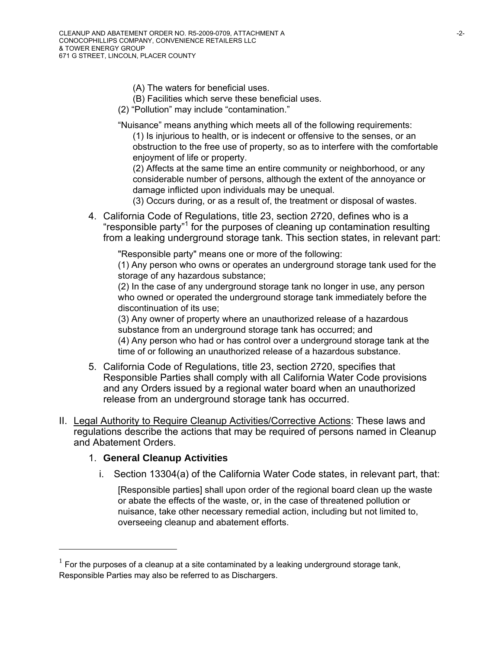- (A) The waters for beneficial uses.
- (B) Facilities which serve these beneficial uses.
- (2) "Pollution" may include "contamination."

"Nuisance" means anything which meets all of the following requirements: (1) Is injurious to health, or is indecent or offensive to the senses, or an obstruction to the free use of property, so as to interfere with the comfortable enjoyment of life or property.

 (2) Affects at the same time an entire community or neighborhood, or any considerable number of persons, although the extent of the annoyance or damage inflicted upon individuals may be unequal.

(3) Occurs during, or as a result of, the treatment or disposal of wastes.

4. California Code of Regulations, title 23, section 2720, defines who is a "responsible party"1 for the purposes of cleaning up contamination resulting from a leaking underground storage tank. This section states, in relevant part:

"Responsible party" means one or more of the following:

(1) Any person who owns or operates an underground storage tank used for the storage of any hazardous substance;

(2) In the case of any underground storage tank no longer in use, any person who owned or operated the underground storage tank immediately before the discontinuation of its use;

(3) Any owner of property where an unauthorized release of a hazardous substance from an underground storage tank has occurred; and (4) Any person who had or has control over a underground storage tank at the time of or following an unauthorized release of a hazardous substance.

- 5. California Code of Regulations, title 23, section 2720, specifies that Responsible Parties shall comply with all California Water Code provisions and any Orders issued by a regional water board when an unauthorized release from an underground storage tank has occurred.
- II. Legal Authority to Require Cleanup Activities/Corrective Actions: These laws and regulations describe the actions that may be required of persons named in Cleanup and Abatement Orders.

### 1. **General Cleanup Activities**

 $\overline{a}$ 

i. Section 13304(a) of the California Water Code states, in relevant part, that:

[Responsible parties] shall upon order of the regional board clean up the waste or abate the effects of the waste, or, in the case of threatened pollution or nuisance, take other necessary remedial action, including but not limited to, overseeing cleanup and abatement efforts.

 $1$  For the purposes of a cleanup at a site contaminated by a leaking underground storage tank, Responsible Parties may also be referred to as Dischargers.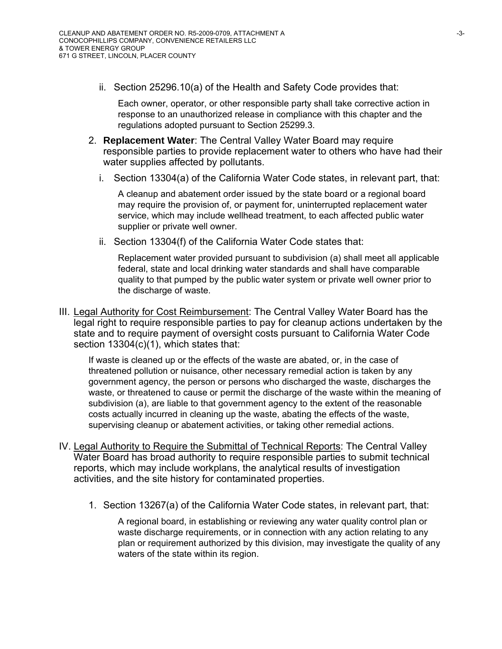ii. Section 25296.10(a) of the Health and Safety Code provides that:

Each owner, operator, or other responsible party shall take corrective action in response to an unauthorized release in compliance with this chapter and the regulations adopted pursuant to Section 25299.3.

- 2. **Replacement Water**: The Central Valley Water Board may require responsible parties to provide replacement water to others who have had their water supplies affected by pollutants.
	- i. Section 13304(a) of the California Water Code states, in relevant part, that:

A cleanup and abatement order issued by the state board or a regional board may require the provision of, or payment for, uninterrupted replacement water service, which may include wellhead treatment, to each affected public water supplier or private well owner.

ii. Section 13304(f) of the California Water Code states that:

Replacement water provided pursuant to subdivision (a) shall meet all applicable federal, state and local drinking water standards and shall have comparable quality to that pumped by the public water system or private well owner prior to the discharge of waste.

III. Legal Authority for Cost Reimbursement: The Central Valley Water Board has the legal right to require responsible parties to pay for cleanup actions undertaken by the state and to require payment of oversight costs pursuant to California Water Code section 13304(c)(1), which states that:

If waste is cleaned up or the effects of the waste are abated, or, in the case of threatened pollution or nuisance, other necessary remedial action is taken by any government agency, the person or persons who discharged the waste, discharges the waste, or threatened to cause or permit the discharge of the waste within the meaning of subdivision (a), are liable to that government agency to the extent of the reasonable costs actually incurred in cleaning up the waste, abating the effects of the waste, supervising cleanup or abatement activities, or taking other remedial actions.

- IV. Legal Authority to Require the Submittal of Technical Reports: The Central Valley Water Board has broad authority to require responsible parties to submit technical reports, which may include workplans, the analytical results of investigation activities, and the site history for contaminated properties.
	- 1. Section 13267(a) of the California Water Code states, in relevant part, that:

A regional board, in establishing or reviewing any water quality control plan or waste discharge requirements, or in connection with any action relating to any plan or requirement authorized by this division, may investigate the quality of any waters of the state within its region.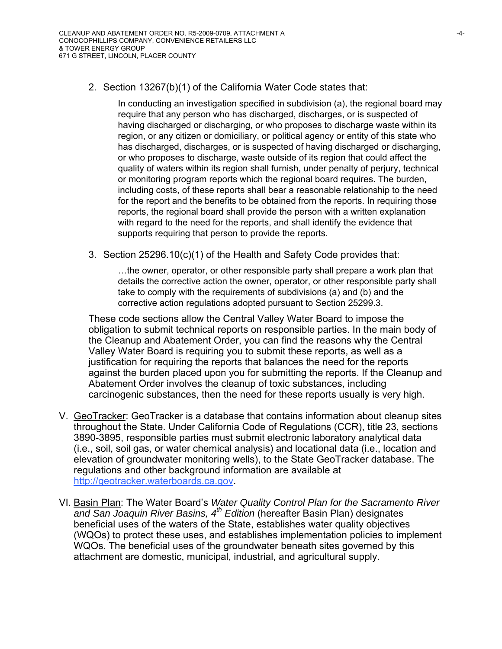2. Section 13267(b)(1) of the California Water Code states that:

In conducting an investigation specified in subdivision (a), the regional board may require that any person who has discharged, discharges, or is suspected of having discharged or discharging, or who proposes to discharge waste within its region, or any citizen or domiciliary, or political agency or entity of this state who has discharged, discharges, or is suspected of having discharged or discharging, or who proposes to discharge, waste outside of its region that could affect the quality of waters within its region shall furnish, under penalty of perjury, technical or monitoring program reports which the regional board requires. The burden, including costs, of these reports shall bear a reasonable relationship to the need for the report and the benefits to be obtained from the reports. In requiring those reports, the regional board shall provide the person with a written explanation with regard to the need for the reports, and shall identify the evidence that supports requiring that person to provide the reports.

3. Section 25296.10(c)(1) of the Health and Safety Code provides that:

…the owner, operator, or other responsible party shall prepare a work plan that details the corrective action the owner, operator, or other responsible party shall take to comply with the requirements of subdivisions (a) and (b) and the corrective action regulations adopted pursuant to Section 25299.3.

These code sections allow the Central Valley Water Board to impose the obligation to submit technical reports on responsible parties. In the main body of the Cleanup and Abatement Order, you can find the reasons why the Central Valley Water Board is requiring you to submit these reports, as well as a justification for requiring the reports that balances the need for the reports against the burden placed upon you for submitting the reports. If the Cleanup and Abatement Order involves the cleanup of toxic substances, including carcinogenic substances, then the need for these reports usually is very high.

- V. GeoTracker: GeoTracker is a database that contains information about cleanup sites throughout the State. Under California Code of Regulations (CCR), title 23, sections 3890-3895, responsible parties must submit electronic laboratory analytical data (i.e., soil, soil gas, or water chemical analysis) and locational data (i.e., location and elevation of groundwater monitoring wells), to the State GeoTracker database. The regulations and other background information are available at http://geotracker.waterboards.ca.gov.
- VI. Basin Plan: The Water Board's *Water Quality Control Plan for the Sacramento River and San Joaquin River Basins, 4th Edition* (hereafter Basin Plan) designates beneficial uses of the waters of the State, establishes water quality objectives (WQOs) to protect these uses, and establishes implementation policies to implement WQOs. The beneficial uses of the groundwater beneath sites governed by this attachment are domestic, municipal, industrial, and agricultural supply.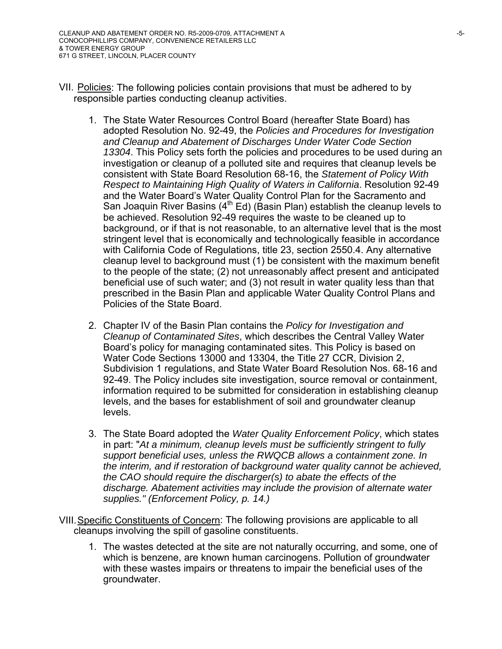- VII. Policies: The following policies contain provisions that must be adhered to by responsible parties conducting cleanup activities.
	- 1. The State Water Resources Control Board (hereafter State Board) has adopted Resolution No. 92-49, the *Policies and Procedures for Investigation and Cleanup and Abatement of Discharges Under Water Code Section 13304*. This Policy sets forth the policies and procedures to be used during an investigation or cleanup of a polluted site and requires that cleanup levels be consistent with State Board Resolution 68-16, the *Statement of Policy With Respect to Maintaining High Quality of Waters in California*. Resolution 92-49 and the Water Board's Water Quality Control Plan for the Sacramento and San Joaquin River Basins  $(4^{th}$  Ed) (Basin Plan) establish the cleanup levels to be achieved. Resolution 92-49 requires the waste to be cleaned up to background, or if that is not reasonable, to an alternative level that is the most stringent level that is economically and technologically feasible in accordance with California Code of Regulations, title 23, section 2550.4. Any alternative cleanup level to background must (1) be consistent with the maximum benefit to the people of the state; (2) not unreasonably affect present and anticipated beneficial use of such water; and (3) not result in water quality less than that prescribed in the Basin Plan and applicable Water Quality Control Plans and Policies of the State Board.
	- 2. Chapter IV of the Basin Plan contains the *Policy for Investigation and Cleanup of Contaminated Sites*, which describes the Central Valley Water Board's policy for managing contaminated sites. This Policy is based on Water Code Sections 13000 and 13304, the Title 27 CCR, Division 2, Subdivision 1 regulations, and State Water Board Resolution Nos. 68-16 and 92-49. The Policy includes site investigation, source removal or containment, information required to be submitted for consideration in establishing cleanup levels, and the bases for establishment of soil and groundwater cleanup levels.
	- 3. The State Board adopted the *Water Quality Enforcement Policy*, which states in part: "*At a minimum, cleanup levels must be sufficiently stringent to fully support beneficial uses, unless the RWQCB allows a containment zone. In the interim, and if restoration of background water quality cannot be achieved, the CAO should require the discharger(s) to abate the effects of the discharge. Abatement activities may include the provision of alternate water supplies." (Enforcement Policy, p. 14.)*
- VIII. Specific Constituents of Concern: The following provisions are applicable to all cleanups involving the spill of gasoline constituents.
	- 1. The wastes detected at the site are not naturally occurring, and some, one of which is benzene, are known human carcinogens. Pollution of groundwater with these wastes impairs or threatens to impair the beneficial uses of the groundwater.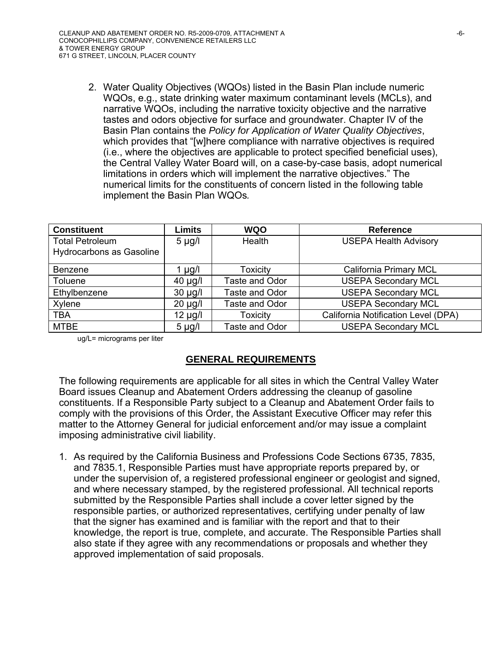2. Water Quality Objectives (WQOs) listed in the Basin Plan include numeric WQOs, e.g., state drinking water maximum contaminant levels (MCLs), and narrative WQOs, including the narrative toxicity objective and the narrative tastes and odors objective for surface and groundwater. Chapter IV of the Basin Plan contains the *Policy for Application of Water Quality Objectives*, which provides that "[w]here compliance with narrative objectives is required (i.e., where the objectives are applicable to protect specified beneficial uses), the Central Valley Water Board will, on a case-by-case basis, adopt numerical limitations in orders which will implement the narrative objectives." The numerical limits for the constituents of concern listed in the following table implement the Basin Plan WQOs*.*

| <b>Constituent</b>       | <b>Limits</b> | <b>WQO</b>      | <b>Reference</b>                    |
|--------------------------|---------------|-----------------|-------------------------------------|
| <b>Total Petroleum</b>   | $5 \mu g/l$   | Health          | <b>USEPA Health Advisory</b>        |
| Hydrocarbons as Gasoline |               |                 |                                     |
| Benzene                  | l µg/l        | <b>Toxicity</b> | California Primary MCL              |
| Toluene                  | $40 \mu g/l$  | Taste and Odor  | <b>USEPA Secondary MCL</b>          |
| Ethylbenzene             | $30 \mu g/l$  | Taste and Odor  | <b>USEPA Secondary MCL</b>          |
| Xylene                   | $20 \mu g/l$  | Taste and Odor  | <b>USEPA Secondary MCL</b>          |
| <b>TBA</b>               | $12 \mu g/l$  | <b>Toxicity</b> | California Notification Level (DPA) |
| <b>MTBE</b>              | $5 \mu g/l$   | Taste and Odor  | <b>USEPA Secondary MCL</b>          |

ug/L= micrograms per liter

### **GENERAL REQUIREMENTS**

The following requirements are applicable for all sites in which the Central Valley Water Board issues Cleanup and Abatement Orders addressing the cleanup of gasoline constituents. If a Responsible Party subject to a Cleanup and Abatement Order fails to comply with the provisions of this Order, the Assistant Executive Officer may refer this matter to the Attorney General for judicial enforcement and/or may issue a complaint imposing administrative civil liability.

1. As required by the California Business and Professions Code Sections 6735, 7835, and 7835.1, Responsible Parties must have appropriate reports prepared by, or under the supervision of, a registered professional engineer or geologist and signed, and where necessary stamped, by the registered professional. All technical reports submitted by the Responsible Parties shall include a cover letter signed by the responsible parties, or authorized representatives, certifying under penalty of law that the signer has examined and is familiar with the report and that to their knowledge, the report is true, complete, and accurate. The Responsible Parties shall also state if they agree with any recommendations or proposals and whether they approved implementation of said proposals.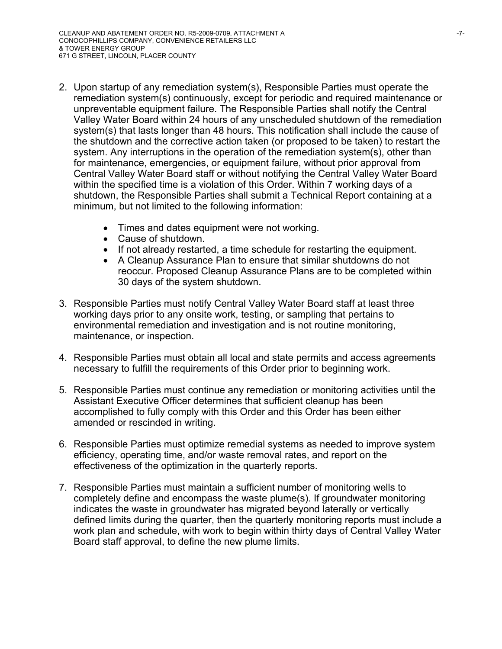- 2. Upon startup of any remediation system(s), Responsible Parties must operate the remediation system(s) continuously, except for periodic and required maintenance or unpreventable equipment failure. The Responsible Parties shall notify the Central Valley Water Board within 24 hours of any unscheduled shutdown of the remediation system(s) that lasts longer than 48 hours. This notification shall include the cause of the shutdown and the corrective action taken (or proposed to be taken) to restart the system. Any interruptions in the operation of the remediation system(s), other than for maintenance, emergencies, or equipment failure, without prior approval from Central Valley Water Board staff or without notifying the Central Valley Water Board within the specified time is a violation of this Order. Within 7 working days of a shutdown, the Responsible Parties shall submit a Technical Report containing at a minimum, but not limited to the following information:
	- Times and dates equipment were not working.
	- Cause of shutdown.
	- If not already restarted, a time schedule for restarting the equipment.
	- A Cleanup Assurance Plan to ensure that similar shutdowns do not reoccur. Proposed Cleanup Assurance Plans are to be completed within 30 days of the system shutdown.
- 3. Responsible Parties must notify Central Valley Water Board staff at least three working days prior to any onsite work, testing, or sampling that pertains to environmental remediation and investigation and is not routine monitoring, maintenance, or inspection.
- 4. Responsible Parties must obtain all local and state permits and access agreements necessary to fulfill the requirements of this Order prior to beginning work.
- 5. Responsible Parties must continue any remediation or monitoring activities until the Assistant Executive Officer determines that sufficient cleanup has been accomplished to fully comply with this Order and this Order has been either amended or rescinded in writing.
- 6. Responsible Parties must optimize remedial systems as needed to improve system efficiency, operating time, and/or waste removal rates, and report on the effectiveness of the optimization in the quarterly reports.
- 7. Responsible Parties must maintain a sufficient number of monitoring wells to completely define and encompass the waste plume(s). If groundwater monitoring indicates the waste in groundwater has migrated beyond laterally or vertically defined limits during the quarter, then the quarterly monitoring reports must include a work plan and schedule, with work to begin within thirty days of Central Valley Water Board staff approval, to define the new plume limits.